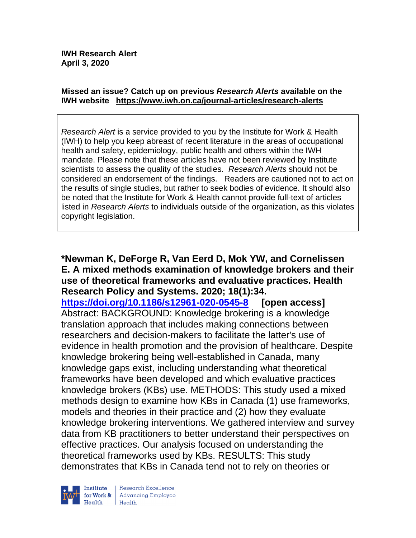#### **Missed an issue? Catch up on previous** *Research Alerts* **available on the [IWH website](http://www.iwh.on.ca/research-alerts) <https://www.iwh.on.ca/journal-articles/research-alerts>**

*Research Alert* is a service provided to you by the Institute for Work & Health (IWH) to help you keep abreast of recent literature in the areas of occupational health and safety, epidemiology, public health and others within the IWH mandate. Please note that these articles have not been reviewed by Institute scientists to assess the quality of the studies. *Research Alerts* should not be considered an endorsement of the findings. Readers are cautioned not to act on the results of single studies, but rather to seek bodies of evidence. It should also be noted that the Institute for Work & Health cannot provide full-text of articles listed in *Research Alerts* to individuals outside of the organization, as this violates copyright legislation.

### **\*Newman K, DeForge R, Van Eerd D, Mok YW, and Cornelissen E. A mixed methods examination of knowledge brokers and their use of theoretical frameworks and evaluative practices. Health Research Policy and Systems. 2020; 18(1):34.**

**<https://doi.org/10.1186/s12961-020-0545-8> [open access]** Abstract: BACKGROUND: Knowledge brokering is a knowledge translation approach that includes making connections between researchers and decision-makers to facilitate the latter's use of evidence in health promotion and the provision of healthcare. Despite knowledge brokering being well-established in Canada, many knowledge gaps exist, including understanding what theoretical frameworks have been developed and which evaluative practices knowledge brokers (KBs) use. METHODS: This study used a mixed methods design to examine how KBs in Canada (1) use frameworks, models and theories in their practice and (2) how they evaluate knowledge brokering interventions. We gathered interview and survey data from KB practitioners to better understand their perspectives on effective practices. Our analysis focused on understanding the theoretical frameworks used by KBs. RESULTS: This study demonstrates that KBs in Canada tend not to rely on theories or

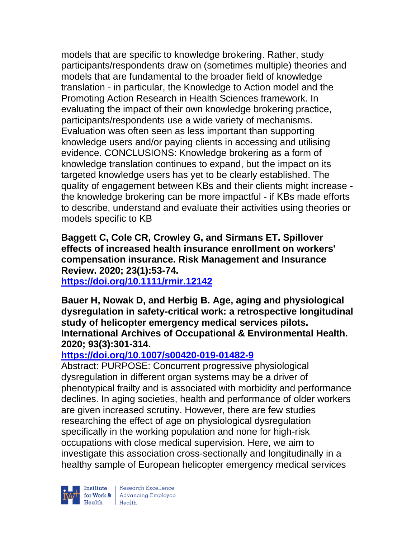models that are specific to knowledge brokering. Rather, study participants/respondents draw on (sometimes multiple) theories and models that are fundamental to the broader field of knowledge translation - in particular, the Knowledge to Action model and the Promoting Action Research in Health Sciences framework. In evaluating the impact of their own knowledge brokering practice, participants/respondents use a wide variety of mechanisms. Evaluation was often seen as less important than supporting knowledge users and/or paying clients in accessing and utilising evidence. CONCLUSIONS: Knowledge brokering as a form of knowledge translation continues to expand, but the impact on its targeted knowledge users has yet to be clearly established. The quality of engagement between KBs and their clients might increase the knowledge brokering can be more impactful - if KBs made efforts to describe, understand and evaluate their activities using theories or models specific to KB

**Baggett C, Cole CR, Crowley G, and Sirmans ET. Spillover effects of increased health insurance enrollment on workers' compensation insurance. Risk Management and Insurance Review. 2020; 23(1):53-74.** 

**<https://doi.org/10.1111/rmir.12142>** 

**Bauer H, Nowak D, and Herbig B. Age, aging and physiological dysregulation in safety-critical work: a retrospective longitudinal study of helicopter emergency medical services pilots. International Archives of Occupational & Environmental Health. 2020; 93(3):301-314.** 

## **<https://doi.org/10.1007/s00420-019-01482-9>**

Abstract: PURPOSE: Concurrent progressive physiological dysregulation in different organ systems may be a driver of phenotypical frailty and is associated with morbidity and performance declines. In aging societies, health and performance of older workers are given increased scrutiny. However, there are few studies researching the effect of age on physiological dysregulation specifically in the working population and none for high-risk occupations with close medical supervision. Here, we aim to investigate this association cross-sectionally and longitudinally in a healthy sample of European helicopter emergency medical services

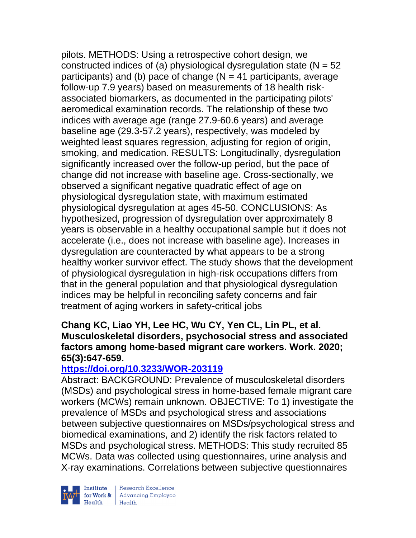pilots. METHODS: Using a retrospective cohort design, we constructed indices of (a) physiological dysregulation state ( $N = 52$ ) participants) and (b) pace of change  $(N = 41$  participants, average follow-up 7.9 years) based on measurements of 18 health riskassociated biomarkers, as documented in the participating pilots' aeromedical examination records. The relationship of these two indices with average age (range 27.9-60.6 years) and average baseline age (29.3-57.2 years), respectively, was modeled by weighted least squares regression, adjusting for region of origin, smoking, and medication. RESULTS: Longitudinally, dysregulation significantly increased over the follow-up period, but the pace of change did not increase with baseline age. Cross-sectionally, we observed a significant negative quadratic effect of age on physiological dysregulation state, with maximum estimated physiological dysregulation at ages 45-50. CONCLUSIONS: As hypothesized, progression of dysregulation over approximately 8 years is observable in a healthy occupational sample but it does not accelerate (i.e., does not increase with baseline age). Increases in dysregulation are counteracted by what appears to be a strong healthy worker survivor effect. The study shows that the development of physiological dysregulation in high-risk occupations differs from that in the general population and that physiological dysregulation indices may be helpful in reconciling safety concerns and fair treatment of aging workers in safety-critical jobs

### **Chang KC, Liao YH, Lee HC, Wu CY, Yen CL, Lin PL, et al. Musculoskeletal disorders, psychosocial stress and associated factors among home-based migrant care workers. Work. 2020; 65(3):647-659.**

## **<https://doi.org/10.3233/WOR-203119>**

Abstract: BACKGROUND: Prevalence of musculoskeletal disorders (MSDs) and psychological stress in home-based female migrant care workers (MCWs) remain unknown. OBJECTIVE: To 1) investigate the prevalence of MSDs and psychological stress and associations between subjective questionnaires on MSDs/psychological stress and biomedical examinations, and 2) identify the risk factors related to MSDs and psychological stress. METHODS: This study recruited 85 MCWs. Data was collected using questionnaires, urine analysis and X-ray examinations. Correlations between subjective questionnaires



Research Excellence Institute Research Excellence<br>
for Work & Advancing Employee<br>
Hoglib Hoglib  $Heath$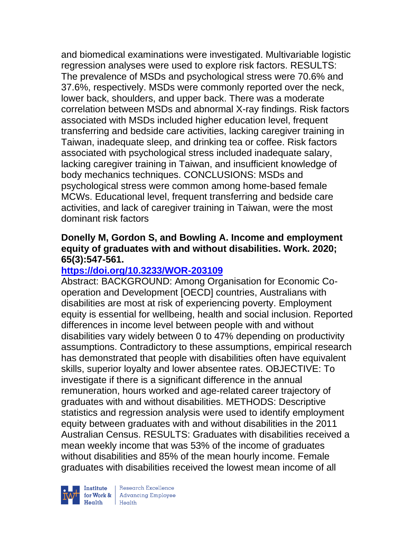and biomedical examinations were investigated. Multivariable logistic regression analyses were used to explore risk factors. RESULTS: The prevalence of MSDs and psychological stress were 70.6% and 37.6%, respectively. MSDs were commonly reported over the neck, lower back, shoulders, and upper back. There was a moderate correlation between MSDs and abnormal X-ray findings. Risk factors associated with MSDs included higher education level, frequent transferring and bedside care activities, lacking caregiver training in Taiwan, inadequate sleep, and drinking tea or coffee. Risk factors associated with psychological stress included inadequate salary, lacking caregiver training in Taiwan, and insufficient knowledge of body mechanics techniques. CONCLUSIONS: MSDs and psychological stress were common among home-based female MCWs. Educational level, frequent transferring and bedside care activities, and lack of caregiver training in Taiwan, were the most dominant risk factors

### **Donelly M, Gordon S, and Bowling A. Income and employment equity of graduates with and without disabilities. Work. 2020; 65(3):547-561.**

### **<https://doi.org/10.3233/WOR-203109>**

Abstract: BACKGROUND: Among Organisation for Economic Cooperation and Development [OECD] countries, Australians with disabilities are most at risk of experiencing poverty. Employment equity is essential for wellbeing, health and social inclusion. Reported differences in income level between people with and without disabilities vary widely between 0 to 47% depending on productivity assumptions. Contradictory to these assumptions, empirical research has demonstrated that people with disabilities often have equivalent skills, superior loyalty and lower absentee rates. OBJECTIVE: To investigate if there is a significant difference in the annual remuneration, hours worked and age-related career trajectory of graduates with and without disabilities. METHODS: Descriptive statistics and regression analysis were used to identify employment equity between graduates with and without disabilities in the 2011 Australian Census. RESULTS: Graduates with disabilities received a mean weekly income that was 53% of the income of graduates without disabilities and 85% of the mean hourly income. Female graduates with disabilities received the lowest mean income of all



| Research Excellence **Institute** Research Excellence<br> **Fractional Advancing Employee**<br> **Health** Health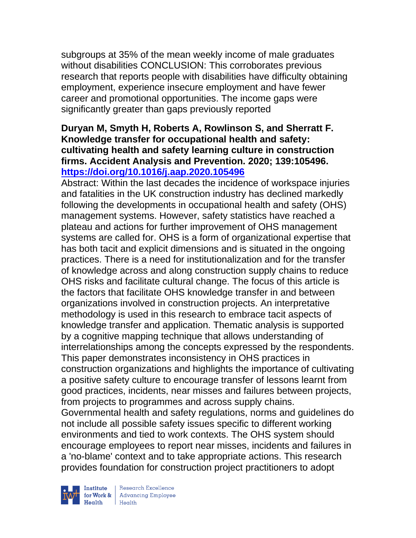subgroups at 35% of the mean weekly income of male graduates without disabilities CONCLUSION: This corroborates previous research that reports people with disabilities have difficulty obtaining employment, experience insecure employment and have fewer career and promotional opportunities. The income gaps were significantly greater than gaps previously reported

### **Duryan M, Smyth H, Roberts A, Rowlinson S, and Sherratt F. Knowledge transfer for occupational health and safety: cultivating health and safety learning culture in construction firms. Accident Analysis and Prevention. 2020; 139:105496. <https://doi.org/10.1016/j.aap.2020.105496>**

Abstract: Within the last decades the incidence of workspace injuries and fatalities in the UK construction industry has declined markedly following the developments in occupational health and safety (OHS) management systems. However, safety statistics have reached a plateau and actions for further improvement of OHS management systems are called for. OHS is a form of organizational expertise that has both tacit and explicit dimensions and is situated in the ongoing practices. There is a need for institutionalization and for the transfer of knowledge across and along construction supply chains to reduce OHS risks and facilitate cultural change. The focus of this article is the factors that facilitate OHS knowledge transfer in and between organizations involved in construction projects. An interpretative methodology is used in this research to embrace tacit aspects of knowledge transfer and application. Thematic analysis is supported by a cognitive mapping technique that allows understanding of interrelationships among the concepts expressed by the respondents. This paper demonstrates inconsistency in OHS practices in construction organizations and highlights the importance of cultivating a positive safety culture to encourage transfer of lessons learnt from good practices, incidents, near misses and failures between projects, from projects to programmes and across supply chains. Governmental health and safety regulations, norms and guidelines do not include all possible safety issues specific to different working environments and tied to work contexts. The OHS system should encourage employees to report near misses, incidents and failures in a 'no-blame' context and to take appropriate actions. This research provides foundation for construction project practitioners to adopt

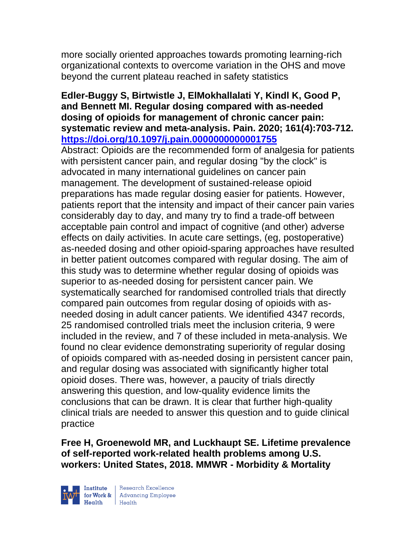more socially oriented approaches towards promoting learning-rich organizational contexts to overcome variation in the OHS and move beyond the current plateau reached in safety statistics

### **Edler-Buggy S, Birtwistle J, ElMokhallalati Y, Kindl K, Good P, and Bennett MI. Regular dosing compared with as-needed dosing of opioids for management of chronic cancer pain: systematic review and meta-analysis. Pain. 2020; 161(4):703-712. <https://doi.org/10.1097/j.pain.0000000000001755>**

Abstract: Opioids are the recommended form of analgesia for patients with persistent cancer pain, and regular dosing "by the clock" is advocated in many international guidelines on cancer pain management. The development of sustained-release opioid preparations has made regular dosing easier for patients. However, patients report that the intensity and impact of their cancer pain varies considerably day to day, and many try to find a trade-off between acceptable pain control and impact of cognitive (and other) adverse effects on daily activities. In acute care settings, (eg, postoperative) as-needed dosing and other opioid-sparing approaches have resulted in better patient outcomes compared with regular dosing. The aim of this study was to determine whether regular dosing of opioids was superior to as-needed dosing for persistent cancer pain. We systematically searched for randomised controlled trials that directly compared pain outcomes from regular dosing of opioids with asneeded dosing in adult cancer patients. We identified 4347 records, 25 randomised controlled trials meet the inclusion criteria, 9 were included in the review, and 7 of these included in meta-analysis. We found no clear evidence demonstrating superiority of regular dosing of opioids compared with as-needed dosing in persistent cancer pain, and regular dosing was associated with significantly higher total opioid doses. There was, however, a paucity of trials directly answering this question, and low-quality evidence limits the conclusions that can be drawn. It is clear that further high-quality clinical trials are needed to answer this question and to guide clinical practice

**Free H, Groenewold MR, and Luckhaupt SE. Lifetime prevalence of self-reported work-related health problems among U.S. workers: United States, 2018. MMWR - Morbidity & Mortality** 

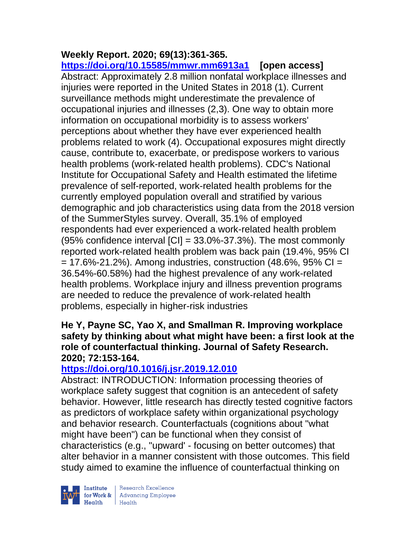# **Weekly Report. 2020; 69(13):361-365.**

**<https://doi.org/10.15585/mmwr.mm6913a1> [open access]**  Abstract: Approximately 2.8 million nonfatal workplace illnesses and injuries were reported in the United States in 2018 (1). Current surveillance methods might underestimate the prevalence of occupational injuries and illnesses (2,3). One way to obtain more information on occupational morbidity is to assess workers' perceptions about whether they have ever experienced health problems related to work (4). Occupational exposures might directly cause, contribute to, exacerbate, or predispose workers to various health problems (work-related health problems). CDC's National Institute for Occupational Safety and Health estimated the lifetime prevalence of self-reported, work-related health problems for the currently employed population overall and stratified by various demographic and job characteristics using data from the 2018 version of the SummerStyles survey. Overall, 35.1% of employed respondents had ever experienced a work-related health problem (95% confidence interval  $\text{[C]} = 33.0\% - 37.3\%$ ). The most commonly reported work-related health problem was back pain (19.4%, 95% CI  $= 17.6\% - 21.2\%$ ). Among industries, construction (48.6%, 95% CI = 36.54%-60.58%) had the highest prevalence of any work-related health problems. Workplace injury and illness prevention programs are needed to reduce the prevalence of work-related health problems, especially in higher-risk industries

### **He Y, Payne SC, Yao X, and Smallman R. Improving workplace safety by thinking about what might have been: a first look at the role of counterfactual thinking. Journal of Safety Research. 2020; 72:153-164.**

## **<https://doi.org/10.1016/j.jsr.2019.12.010>**

Abstract: INTRODUCTION: Information processing theories of workplace safety suggest that cognition is an antecedent of safety behavior. However, little research has directly tested cognitive factors as predictors of workplace safety within organizational psychology and behavior research. Counterfactuals (cognitions about "what might have been") can be functional when they consist of characteristics (e.g., "upward' - focusing on better outcomes) that alter behavior in a manner consistent with those outcomes. This field study aimed to examine the influence of counterfactual thinking on

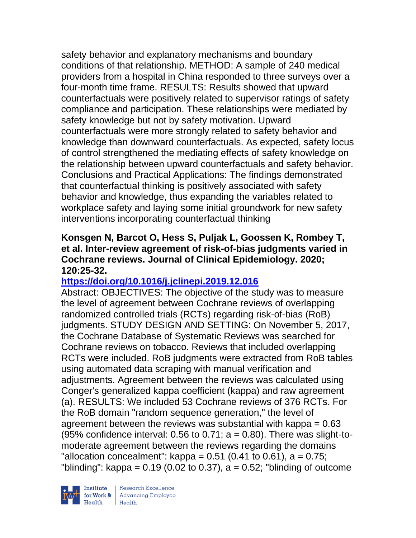safety behavior and explanatory mechanisms and boundary conditions of that relationship. METHOD: A sample of 240 medical providers from a hospital in China responded to three surveys over a four-month time frame. RESULTS: Results showed that upward counterfactuals were positively related to supervisor ratings of safety compliance and participation. These relationships were mediated by safety knowledge but not by safety motivation. Upward counterfactuals were more strongly related to safety behavior and knowledge than downward counterfactuals. As expected, safety locus of control strengthened the mediating effects of safety knowledge on the relationship between upward counterfactuals and safety behavior. Conclusions and Practical Applications: The findings demonstrated that counterfactual thinking is positively associated with safety behavior and knowledge, thus expanding the variables related to workplace safety and laying some initial groundwork for new safety interventions incorporating counterfactual thinking

### **Konsgen N, Barcot O, Hess S, Puljak L, Goossen K, Rombey T, et al. Inter-review agreement of risk-of-bias judgments varied in Cochrane reviews. Journal of Clinical Epidemiology. 2020; 120:25-32.**

## **<https://doi.org/10.1016/j.jclinepi.2019.12.016>**

Abstract: OBJECTIVES: The objective of the study was to measure the level of agreement between Cochrane reviews of overlapping randomized controlled trials (RCTs) regarding risk-of-bias (RoB) judgments. STUDY DESIGN AND SETTING: On November 5, 2017, the Cochrane Database of Systematic Reviews was searched for Cochrane reviews on tobacco. Reviews that included overlapping RCTs were included. RoB judgments were extracted from RoB tables using automated data scraping with manual verification and adjustments. Agreement between the reviews was calculated using Conger's generalized kappa coefficient (kappa) and raw agreement (a). RESULTS: We included 53 Cochrane reviews of 376 RCTs. For the RoB domain "random sequence generation," the level of agreement between the reviews was substantial with kappa = 0.63 (95% confidence interval: 0.56 to 0.71;  $a = 0.80$ ). There was slight-tomoderate agreement between the reviews regarding the domains "allocation concealment": kappa =  $0.51$  (0.41 to 0.61), a =  $0.75$ ; "blinding": kappa =  $0.19$  (0.02 to 0.37), a =  $0.52$ ; "blinding of outcome

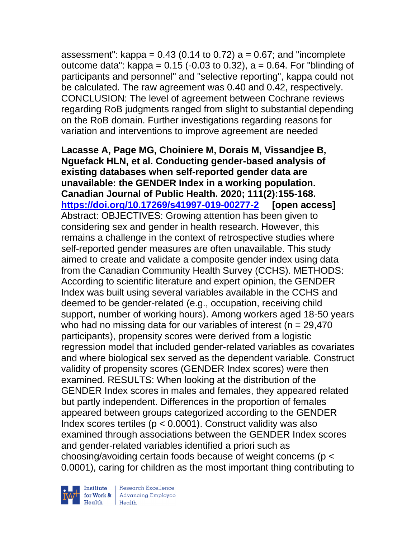assessment":  $kappa = 0.43$  (0.14 to 0.72)  $a = 0.67$ ; and "incomplete outcome data": kappa =  $0.15$  (-0.03 to 0.32), a = 0.64. For "blinding of participants and personnel" and "selective reporting", kappa could not be calculated. The raw agreement was 0.40 and 0.42, respectively. CONCLUSION: The level of agreement between Cochrane reviews regarding RoB judgments ranged from slight to substantial depending on the RoB domain. Further investigations regarding reasons for variation and interventions to improve agreement are needed

**Lacasse A, Page MG, Choiniere M, Dorais M, Vissandjee B, Nguefack HLN, et al. Conducting gender-based analysis of existing databases when self-reported gender data are unavailable: the GENDER Index in a working population. Canadian Journal of Public Health. 2020; 111(2):155-168. <https://doi.org/10.17269/s41997-019-00277-2> [open access]**  Abstract: OBJECTIVES: Growing attention has been given to considering sex and gender in health research. However, this remains a challenge in the context of retrospective studies where self-reported gender measures are often unavailable. This study aimed to create and validate a composite gender index using data from the Canadian Community Health Survey (CCHS). METHODS: According to scientific literature and expert opinion, the GENDER Index was built using several variables available in the CCHS and deemed to be gender-related (e.g., occupation, receiving child support, number of working hours). Among workers aged 18-50 years who had no missing data for our variables of interest ( $n = 29,470$ participants), propensity scores were derived from a logistic regression model that included gender-related variables as covariates and where biological sex served as the dependent variable. Construct validity of propensity scores (GENDER Index scores) were then examined. RESULTS: When looking at the distribution of the GENDER Index scores in males and females, they appeared related but partly independent. Differences in the proportion of females appeared between groups categorized according to the GENDER Index scores tertiles ( $p < 0.0001$ ). Construct validity was also examined through associations between the GENDER Index scores and gender-related variables identified a priori such as choosing/avoiding certain foods because of weight concerns (p < 0.0001), caring for children as the most important thing contributing to

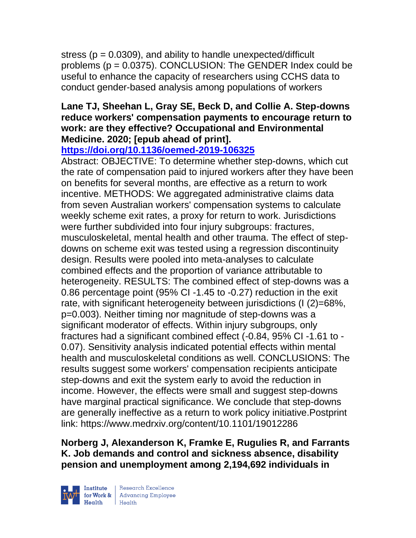stress ( $p = 0.0309$ ), and ability to handle unexpected/difficult problems (p = 0.0375). CONCLUSION: The GENDER Index could be useful to enhance the capacity of researchers using CCHS data to conduct gender-based analysis among populations of workers

## **Lane TJ, Sheehan L, Gray SE, Beck D, and Collie A. Step-downs reduce workers' compensation payments to encourage return to work: are they effective? Occupational and Environmental Medicine. 2020; [epub ahead of print].**

## **<https://doi.org/10.1136/oemed-2019-106325>**

Abstract: OBJECTIVE: To determine whether step-downs, which cut the rate of compensation paid to injured workers after they have been on benefits for several months, are effective as a return to work incentive. METHODS: We aggregated administrative claims data from seven Australian workers' compensation systems to calculate weekly scheme exit rates, a proxy for return to work. Jurisdictions were further subdivided into four injury subgroups: fractures, musculoskeletal, mental health and other trauma. The effect of stepdowns on scheme exit was tested using a regression discontinuity design. Results were pooled into meta-analyses to calculate combined effects and the proportion of variance attributable to heterogeneity. RESULTS: The combined effect of step-downs was a 0.86 percentage point (95% CI -1.45 to -0.27) reduction in the exit rate, with significant heterogeneity between jurisdictions (I (2)=68%, p=0.003). Neither timing nor magnitude of step-downs was a significant moderator of effects. Within injury subgroups, only fractures had a significant combined effect (-0.84, 95% CI -1.61 to - 0.07). Sensitivity analysis indicated potential effects within mental health and musculoskeletal conditions as well. CONCLUSIONS: The results suggest some workers' compensation recipients anticipate step-downs and exit the system early to avoid the reduction in income. However, the effects were small and suggest step-downs have marginal practical significance. We conclude that step-downs are generally ineffective as a return to work policy initiative.Postprint link: https://www.medrxiv.org/content/10.1101/19012286

**Norberg J, Alexanderson K, Framke E, Rugulies R, and Farrants K. Job demands and control and sickness absence, disability pension and unemployment among 2,194,692 individuals in** 

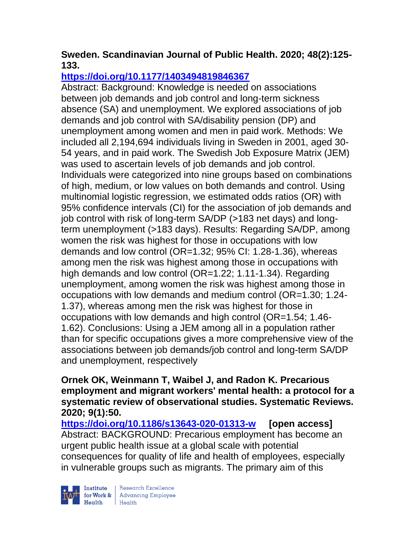## **Sweden. Scandinavian Journal of Public Health. 2020; 48(2):125- 133.**

## **<https://doi.org/10.1177/1403494819846367>**

Abstract: Background: Knowledge is needed on associations between job demands and job control and long-term sickness absence (SA) and unemployment. We explored associations of job demands and job control with SA/disability pension (DP) and unemployment among women and men in paid work. Methods: We included all 2,194,694 individuals living in Sweden in 2001, aged 30- 54 years, and in paid work. The Swedish Job Exposure Matrix (JEM) was used to ascertain levels of job demands and job control. Individuals were categorized into nine groups based on combinations of high, medium, or low values on both demands and control. Using multinomial logistic regression, we estimated odds ratios (OR) with 95% confidence intervals (CI) for the association of job demands and job control with risk of long-term SA/DP (>183 net days) and longterm unemployment (>183 days). Results: Regarding SA/DP, among women the risk was highest for those in occupations with low demands and low control (OR=1.32; 95% CI: 1.28-1.36), whereas among men the risk was highest among those in occupations with high demands and low control (OR=1.22; 1.11-1.34). Regarding unemployment, among women the risk was highest among those in occupations with low demands and medium control (OR=1.30; 1.24- 1.37), whereas among men the risk was highest for those in occupations with low demands and high control (OR=1.54; 1.46- 1.62). Conclusions: Using a JEM among all in a population rather than for specific occupations gives a more comprehensive view of the associations between job demands/job control and long-term SA/DP and unemployment, respectively

### **Ornek OK, Weinmann T, Waibel J, and Radon K. Precarious employment and migrant workers' mental health: a protocol for a systematic review of observational studies. Systematic Reviews. 2020; 9(1):50.**

**<https://doi.org/10.1186/s13643-020-01313-w> [open access]** Abstract: BACKGROUND: Precarious employment has become an urgent public health issue at a global scale with potential consequences for quality of life and health of employees, especially in vulnerable groups such as migrants. The primary aim of this

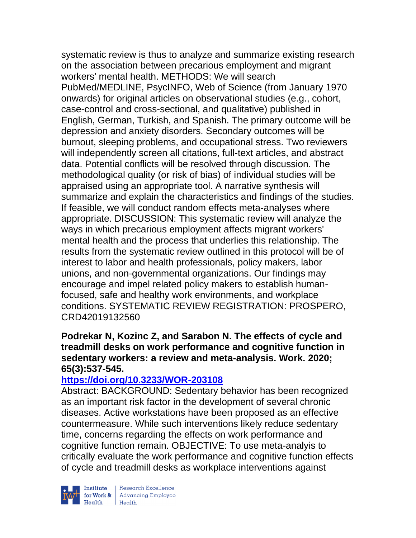systematic review is thus to analyze and summarize existing research on the association between precarious employment and migrant workers' mental health. METHODS: We will search PubMed/MEDLINE, PsycINFO, Web of Science (from January 1970 onwards) for original articles on observational studies (e.g., cohort, case-control and cross-sectional, and qualitative) published in English, German, Turkish, and Spanish. The primary outcome will be depression and anxiety disorders. Secondary outcomes will be burnout, sleeping problems, and occupational stress. Two reviewers will independently screen all citations, full-text articles, and abstract data. Potential conflicts will be resolved through discussion. The methodological quality (or risk of bias) of individual studies will be appraised using an appropriate tool. A narrative synthesis will summarize and explain the characteristics and findings of the studies. If feasible, we will conduct random effects meta-analyses where appropriate. DISCUSSION: This systematic review will analyze the ways in which precarious employment affects migrant workers' mental health and the process that underlies this relationship. The results from the systematic review outlined in this protocol will be of interest to labor and health professionals, policy makers, labor unions, and non-governmental organizations. Our findings may encourage and impel related policy makers to establish humanfocused, safe and healthy work environments, and workplace conditions. SYSTEMATIC REVIEW REGISTRATION: PROSPERO, CRD42019132560

#### **Podrekar N, Kozinc Z, and Sarabon N. The effects of cycle and treadmill desks on work performance and cognitive function in sedentary workers: a review and meta-analysis. Work. 2020; 65(3):537-545.**

## **<https://doi.org/10.3233/WOR-203108>**

Abstract: BACKGROUND: Sedentary behavior has been recognized as an important risk factor in the development of several chronic diseases. Active workstations have been proposed as an effective countermeasure. While such interventions likely reduce sedentary time, concerns regarding the effects on work performance and cognitive function remain. OBJECTIVE: To use meta-analyis to critically evaluate the work performance and cognitive function effects of cycle and treadmill desks as workplace interventions against



| Research Excellence Finantium Research Excellence<br>
Finantium Research Employee<br>
Realth Health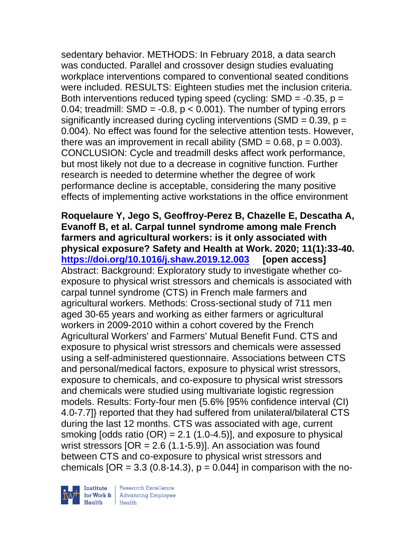sedentary behavior. METHODS: In February 2018, a data search was conducted. Parallel and crossover design studies evaluating workplace interventions compared to conventional seated conditions were included. RESULTS: Eighteen studies met the inclusion criteria. Both interventions reduced typing speed (cycling:  $SMD = -0.35$ ,  $p =$ 0.04; treadmill: SMD =  $-0.8$ ,  $p < 0.001$ ). The number of typing errors significantly increased during cycling interventions (SMD =  $0.39$ ,  $p =$ 0.004). No effect was found for the selective attention tests. However, there was an improvement in recall ability (SMD =  $0.68$ ,  $p = 0.003$ ). CONCLUSION: Cycle and treadmill desks affect work performance, but most likely not due to a decrease in cognitive function. Further research is needed to determine whether the degree of work performance decline is acceptable, considering the many positive effects of implementing active workstations in the office environment

**Roquelaure Y, Jego S, Geoffroy-Perez B, Chazelle E, Descatha A, Evanoff B, et al. Carpal tunnel syndrome among male French farmers and agricultural workers: is it only associated with physical exposure? Safety and Health at Work. 2020; 11(1):33-40. <https://doi.org/10.1016/j.shaw.2019.12.003> [open access]** Abstract: Background: Exploratory study to investigate whether coexposure to physical wrist stressors and chemicals is associated with carpal tunnel syndrome (CTS) in French male farmers and agricultural workers. Methods: Cross-sectional study of 711 men aged 30-65 years and working as either farmers or agricultural workers in 2009-2010 within a cohort covered by the French Agricultural Workers' and Farmers' Mutual Benefit Fund. CTS and exposure to physical wrist stressors and chemicals were assessed using a self-administered questionnaire. Associations between CTS and personal/medical factors, exposure to physical wrist stressors, exposure to chemicals, and co-exposure to physical wrist stressors and chemicals were studied using multivariate logistic regression models. Results: Forty-four men {5.6% [95% confidence interval (CI) 4.0-7.7]} reported that they had suffered from unilateral/bilateral CTS during the last 12 months. CTS was associated with age, current smoking  $[odds ratio (OR) = 2.1 (1.0-4.5)],$  and exposure to physical wrist stressors  $[OR = 2.6 (1.1-5.9)]$ . An association was found between CTS and co-exposure to physical wrist stressors and chemicals  $[OR = 3.3 (0.8-14.3), p = 0.044]$  in comparison with the no-

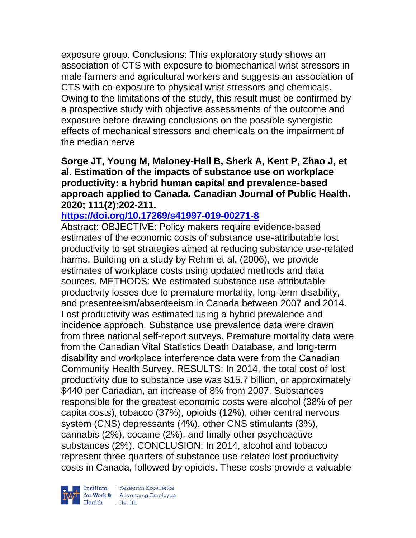exposure group. Conclusions: This exploratory study shows an association of CTS with exposure to biomechanical wrist stressors in male farmers and agricultural workers and suggests an association of CTS with co-exposure to physical wrist stressors and chemicals. Owing to the limitations of the study, this result must be confirmed by a prospective study with objective assessments of the outcome and exposure before drawing conclusions on the possible synergistic effects of mechanical stressors and chemicals on the impairment of the median nerve

**Sorge JT, Young M, Maloney-Hall B, Sherk A, Kent P, Zhao J, et al. Estimation of the impacts of substance use on workplace productivity: a hybrid human capital and prevalence-based approach applied to Canada. Canadian Journal of Public Health. 2020; 111(2):202-211.** 

#### **<https://doi.org/10.17269/s41997-019-00271-8>**

Abstract: OBJECTIVE: Policy makers require evidence-based estimates of the economic costs of substance use-attributable lost productivity to set strategies aimed at reducing substance use-related harms. Building on a study by Rehm et al. (2006), we provide estimates of workplace costs using updated methods and data sources. METHODS: We estimated substance use-attributable productivity losses due to premature mortality, long-term disability, and presenteeism/absenteeism in Canada between 2007 and 2014. Lost productivity was estimated using a hybrid prevalence and incidence approach. Substance use prevalence data were drawn from three national self-report surveys. Premature mortality data were from the Canadian Vital Statistics Death Database, and long-term disability and workplace interference data were from the Canadian Community Health Survey. RESULTS: In 2014, the total cost of lost productivity due to substance use was \$15.7 billion, or approximately \$440 per Canadian, an increase of 8% from 2007. Substances responsible for the greatest economic costs were alcohol (38% of per capita costs), tobacco (37%), opioids (12%), other central nervous system (CNS) depressants (4%), other CNS stimulants (3%), cannabis (2%), cocaine (2%), and finally other psychoactive substances (2%). CONCLUSION: In 2014, alcohol and tobacco represent three quarters of substance use-related lost productivity costs in Canada, followed by opioids. These costs provide a valuable

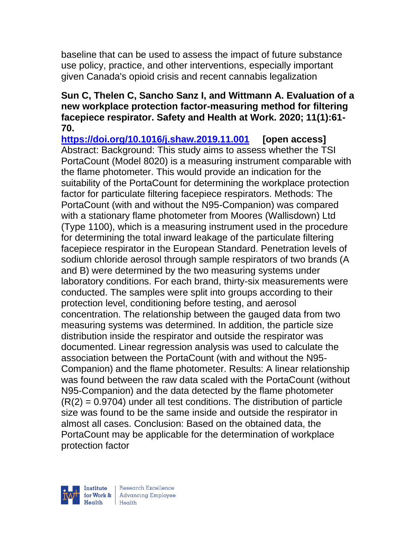baseline that can be used to assess the impact of future substance use policy, practice, and other interventions, especially important given Canada's opioid crisis and recent cannabis legalization

### **Sun C, Thelen C, Sancho Sanz I, and Wittmann A. Evaluation of a new workplace protection factor-measuring method for filtering facepiece respirator. Safety and Health at Work. 2020; 11(1):61- 70.**

**<https://doi.org/10.1016/j.shaw.2019.11.001> [open access]** Abstract: Background: This study aims to assess whether the TSI PortaCount (Model 8020) is a measuring instrument comparable with the flame photometer. This would provide an indication for the suitability of the PortaCount for determining the workplace protection factor for particulate filtering facepiece respirators. Methods: The PortaCount (with and without the N95-Companion) was compared with a stationary flame photometer from Moores (Wallisdown) Ltd (Type 1100), which is a measuring instrument used in the procedure for determining the total inward leakage of the particulate filtering facepiece respirator in the European Standard. Penetration levels of sodium chloride aerosol through sample respirators of two brands (A and B) were determined by the two measuring systems under laboratory conditions. For each brand, thirty-six measurements were conducted. The samples were split into groups according to their protection level, conditioning before testing, and aerosol concentration. The relationship between the gauged data from two measuring systems was determined. In addition, the particle size distribution inside the respirator and outside the respirator was documented. Linear regression analysis was used to calculate the association between the PortaCount (with and without the N95- Companion) and the flame photometer. Results: A linear relationship was found between the raw data scaled with the PortaCount (without N95-Companion) and the data detected by the flame photometer  $(R(2) = 0.9704)$  under all test conditions. The distribution of particle size was found to be the same inside and outside the respirator in almost all cases. Conclusion: Based on the obtained data, the PortaCount may be applicable for the determination of workplace protection factor